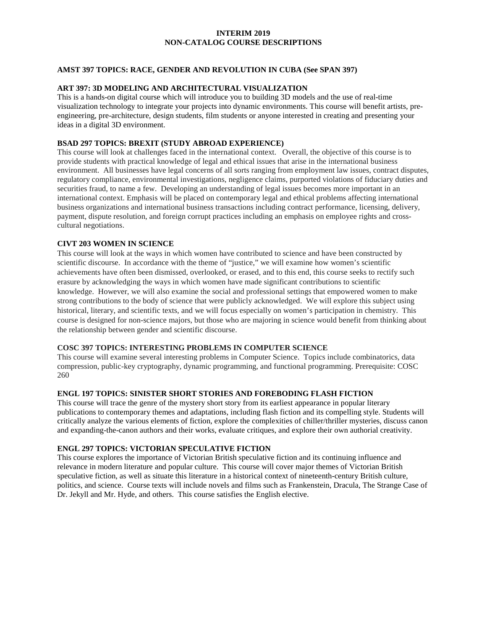# **INTERIM 2019 NON-CATALOG COURSE DESCRIPTIONS**

# **AMST 397 TOPICS: RACE, GENDER AND REVOLUTION IN CUBA (See SPAN 397)**

## **ART 397: 3D MODELING AND ARCHITECTURAL VISUALIZATION**

This is a hands-on digital course which will introduce you to building 3D models and the use of real-time visualization technology to integrate your projects into dynamic environments. This course will benefit artists, preengineering, pre-architecture, design students, film students or anyone interested in creating and presenting your ideas in a digital 3D environment.

#### **BSAD 297 TOPICS: BREXIT (STUDY ABROAD EXPERIENCE)**

This course will look at challenges faced in the international context. Overall, the objective of this course is to provide students with practical knowledge of legal and ethical issues that arise in the international business environment. All businesses have legal concerns of all sorts ranging from employment law issues, contract disputes, regulatory compliance, environmental investigations, negligence claims, purported violations of fiduciary duties and securities fraud, to name a few. Developing an understanding of legal issues becomes more important in an international context. Emphasis will be placed on contemporary legal and ethical problems affecting international business organizations and international business transactions including contract performance, licensing, delivery, payment, dispute resolution, and foreign corrupt practices including an emphasis on employee rights and crosscultural negotiations.

### **CIVT 203 WOMEN IN SCIENCE**

This course will look at the ways in which women have contributed to science and have been constructed by scientific discourse. In accordance with the theme of "justice," we will examine how women's scientific achievements have often been dismissed, overlooked, or erased, and to this end, this course seeks to rectify such erasure by acknowledging the ways in which women have made significant contributions to scientific knowledge. However, we will also examine the social and professional settings that empowered women to make strong contributions to the body of science that were publicly acknowledged. We will explore this subject using historical, literary, and scientific texts, and we will focus especially on women's participation in chemistry. This course is designed for non-science majors, but those who are majoring in science would benefit from thinking about the relationship between gender and scientific discourse.

#### **COSC 397 TOPICS: INTERESTING PROBLEMS IN COMPUTER SCIENCE**

This course will examine several interesting problems in Computer Science. Topics include combinatorics, data compression, public-key cryptography, dynamic programming, and functional programming. Prerequisite: COSC 260

# **ENGL 197 TOPICS: SINISTER SHORT STORIES AND FOREBODING FLASH FICTION**

This course will trace the genre of the mystery short story from its earliest appearance in popular literary publications to contemporary themes and adaptations, including flash fiction and its compelling style. Students will critically analyze the various elements of fiction, explore the complexities of chiller/thriller mysteries, discuss canon and expanding-the-canon authors and their works, evaluate critiques, and explore their own authorial creativity.

## **ENGL 297 TOPICS: VICTORIAN SPECULATIVE FICTION**

This course explores the importance of Victorian British speculative fiction and its continuing influence and relevance in modern literature and popular culture. This course will cover major themes of Victorian British speculative fiction, as well as situate this literature in a historical context of nineteenth-century British culture, politics, and science. Course texts will include novels and films such as Frankenstein, Dracula, The Strange Case of Dr. Jekyll and Mr. Hyde, and others. This course satisfies the English elective.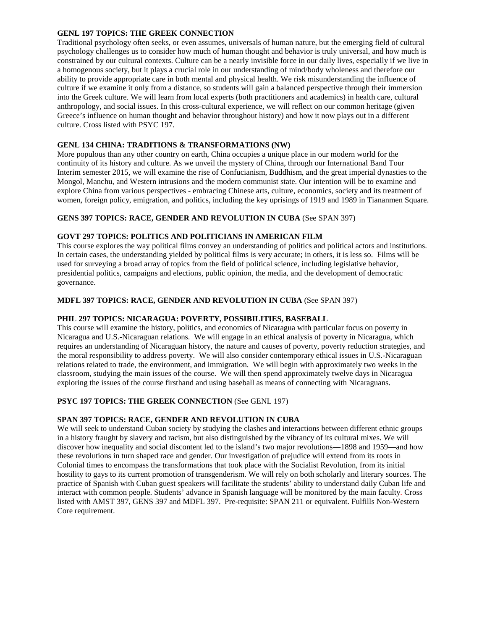## **GENL 197 TOPICS: THE GREEK CONNECTION**

Traditional psychology often seeks, or even assumes, universals of human nature, but the emerging field of cultural psychology challenges us to consider how much of human thought and behavior is truly universal, and how much is constrained by our cultural contexts. Culture can be a nearly invisible force in our daily lives, especially if we live in a homogenous society, but it plays a crucial role in our understanding of mind/body wholeness and therefore our ability to provide appropriate care in both mental and physical health. We risk misunderstanding the influence of culture if we examine it only from a distance, so students will gain a balanced perspective through their immersion into the Greek culture. We will learn from local experts (both practitioners and academics) in health care, cultural anthropology, and social issues. In this cross-cultural experience, we will reflect on our common heritage (given Greece's influence on human thought and behavior throughout history) and how it now plays out in a different culture. Cross listed with PSYC 197.

## **GENL 134 CHINA: TRADITIONS & TRANSFORMATIONS (NW)**

More populous than any other country on earth, China occupies a unique place in our modern world for the continuity of its history and culture. As we unveil the mystery of China, through our International Band Tour Interim semester 2015, we will examine the rise of Confucianism, Buddhism, and the great imperial dynasties to the Mongol, Manchu, and Western intrusions and the modern communist state. Our intention will be to examine and explore China from various perspectives - embracing Chinese arts, culture, economics, society and its treatment of women, foreign policy, emigration, and politics, including the key uprisings of 1919 and 1989 in Tiananmen Square.

### **GENS 397 TOPICS: RACE, GENDER AND REVOLUTION IN CUBA** (See SPAN 397)

## **GOVT 297 TOPICS: POLITICS AND POLITICIANS IN AMERICAN FILM**

This course explores the way political films convey an understanding of politics and political actors and institutions. In certain cases, the understanding yielded by political films is very accurate; in others, it is less so. Films will be used for surveying a broad array of topics from the field of political science, including legislative behavior, presidential politics, campaigns and elections, public opinion, the media, and the development of democratic governance.

### **MDFL 397 TOPICS: RACE, GENDER AND REVOLUTION IN CUBA** (See SPAN 397)

#### **PHIL 297 TOPICS: NICARAGUA: POVERTY, POSSIBILITIES, BASEBALL**

This course will examine the history, politics, and economics of Nicaragua with particular focus on poverty in Nicaragua and U.S.-Nicaraguan relations. We will engage in an ethical analysis of poverty in Nicaragua, which requires an understanding of Nicaraguan history, the nature and causes of poverty, poverty reduction strategies, and the moral responsibility to address poverty. We will also consider contemporary ethical issues in U.S.-Nicaraguan relations related to trade, the environment, and immigration. We will begin with approximately two weeks in the classroom, studying the main issues of the course. We will then spend approximately twelve days in Nicaragua exploring the issues of the course firsthand and using baseball as means of connecting with Nicaraguans.

#### **PSYC 197 TOPICS: THE GREEK CONNECTION** (See GENL 197)

## **SPAN 397 TOPICS: RACE, GENDER AND REVOLUTION IN CUBA**

We will seek to understand Cuban society by studying the clashes and interactions between different ethnic groups in a history fraught by slavery and racism, but also distinguished by the vibrancy of its cultural mixes. We will discover how inequality and social discontent led to the island's two major revolutions—1898 and 1959—and how these revolutions in turn shaped race and gender. Our investigation of prejudice will extend from its roots in Colonial times to encompass the transformations that took place with the Socialist Revolution, from its initial hostility to gays to its current promotion of transgenderism. We will rely on both scholarly and literary sources. The practice of Spanish with Cuban guest speakers will facilitate the students' ability to understand daily Cuban life and interact with common people. Students' advance in Spanish language will be monitored by the main faculty. Cross listed with AMST 397, GENS 397 and MDFL 397. Pre-requisite: SPAN 211 or equivalent. Fulfills Non-Western Core requirement.